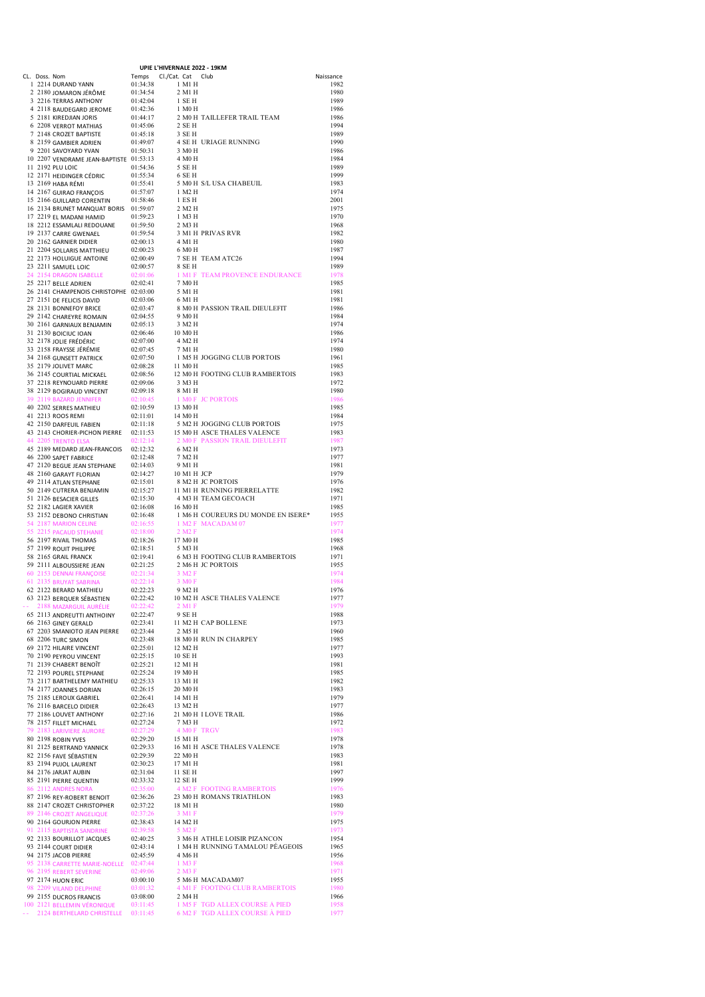|               |                                                                    |                      |                   |                                | UPIE L'HIVERNALE 2022 - 19KM                                        |                   |
|---------------|--------------------------------------------------------------------|----------------------|-------------------|--------------------------------|---------------------------------------------------------------------|-------------------|
| CL. Doss. Nom | 1 2214 DURAND YANN                                                 | Temps<br>01:34:38    | Cl./Cat. Cat Club | 1 M1 H                         |                                                                     | Naissance<br>1982 |
|               | 2 2180 JOMARON JÉRÖME                                              | 01:34:54             |                   | 2 M1 H                         |                                                                     | 1980              |
|               | 3 2216 TERRAS ANTHONY                                              | 01:42:04             |                   | 1 SE H                         |                                                                     | 1989              |
|               | 4 2118 BAUDEGARD JEROME                                            | 01:42:36             |                   | 1 M0 H                         |                                                                     | 1986              |
|               | 5 2181 KIREDJIAN JORIS                                             | 01:44:17             |                   |                                | 2 M0 H TAILLEFER TRAIL TEAM                                         | 1986              |
|               | 6 2208 VERROT MATHIAS<br>7 2148 CROZET BAPTISTE                    | 01:45:06<br>01:45:18 |                   | 2 SE H<br>3 SE H               |                                                                     | 1994<br>1989      |
|               | 8 2159 GAMBIER ADRIEN                                              | 01:49:07             |                   |                                | 4 SE H URIAGE RUNNING                                               | 1990              |
|               | 9 2201 SAVOYARD YVAN                                               | 01:50:31             |                   | 3 M0 H                         |                                                                     | 1986              |
|               | 10 2207 VENDRAME JEAN-BAPTISTE 01:53:13                            |                      |                   | 4 M <sub>0</sub> H             |                                                                     | 1984              |
|               | 11 2192 PLU LOIC                                                   | 01:54:36             |                   | 5 SE H                         |                                                                     | 1989              |
|               | 12 2171 HEIDINGER CÉDRIC                                           | 01:55:34             |                   | 6 SE H                         |                                                                     | 1999              |
|               | 13 2169 HABA RÉMI<br>14 2167 GUIRAO FRANÇOIS                       | 01:55:41<br>01:57:07 |                   | 1 M2 H                         | 5 M0 H S/L USA CHABEUIL                                             | 1983<br>1974      |
|               | 15 2166 GUILLARD CORENTIN                                          | 01:58:46             |                   | 1 ES H                         |                                                                     | 2001              |
|               | 16 2134 BRUNET MANQUAT BORIS 01:59:07                              |                      |                   | 2 M2 H                         |                                                                     | 1975              |
|               | 17 2219 EL MADANI HAMID                                            | 01:59:23             |                   | 1 M3 H                         |                                                                     | 1970              |
|               | 18 2212 ESSAMLALI REDOUANE                                         | 01:59:50             |                   | 2 M3 H                         |                                                                     | 1968              |
|               | 19 2137 CARRE GWENAEL                                              | 01:59:54             |                   |                                | 3 M1 H PRIVAS RVR                                                   | 1982              |
|               | 20 2162 GARNIER DIDIER<br>21 2204 SOLLARIS MATTHIEU                | 02:00:13<br>02:00:23 |                   | 4 M1 H<br>6 M0 H               |                                                                     | 1980<br>1987      |
|               | 22 2173 HOLUIGUE ANTOINE                                           | 02:00:49             |                   |                                | 7 SE H TEAM ATC26                                                   | 1994              |
|               | 23 2211 SAMUEL LOIC                                                | 02:00:57             |                   | 8 SE H                         |                                                                     | 1989              |
|               | 24 2154 DRAGON ISABELLE                                            | 02:01:06             |                   |                                | 1 M1 F TEAM PROVENCE ENDURANCE                                      | 1978              |
|               | 25 2217 BELLE ADRIEN                                               | 02:02:41             |                   | 7 M0 H                         |                                                                     | 1985              |
|               | 26 2141 CHAMPENOIS CHRISTOPHE 02:03:00<br>27 2151 DE FELICIS DAVID | 02:03:06             |                   | 5 M1 H<br>6 M1 H               |                                                                     | 1981<br>1981      |
|               | 28 2131 BONNEFOY BRICE                                             | 02:03:47             |                   |                                | 8 M0 H PASSION TRAIL DIEULEFIT                                      | 1986              |
|               | 29 2142 CHAREYRE ROMAIN                                            | 02:04:55             |                   | 9 M0 H                         |                                                                     | 1984              |
|               | 30 2161 GARNIAUX BENJAMIN                                          | 02:05:13             |                   | 3 M2 H                         |                                                                     | 1974              |
|               | 31 2130 BOICIUC IOAN                                               | 02:06:46             |                   | 10 M0 H                        |                                                                     | 1986              |
|               | 32 2178 JOLIE FRÉDÉRIC                                             | 02:07:00             |                   | 4 M2 H<br>7 M1 H               |                                                                     | 1974<br>1980      |
|               | 33 2158 FRAYSSE JÉRÉMIE<br>34 2168 GUNSETT PATRICK                 | 02:07:45<br>02:07:50 |                   |                                | 1 M5 H JOGGING CLUB PORTOIS                                         | 1961              |
|               | 35 2179 JOLIVET MARC                                               | 02:08:28             |                   | 11 M0 H                        |                                                                     | 1985              |
|               | 36 2145 COURTIAL MICKAEL                                           | 02:08:56             |                   |                                | 12 M0 H FOOTING CLUB RAMBERTOIS                                     | 1983              |
|               | 37 2218 REYNOUARD PIERRE                                           | 02:09:06             |                   | 3 M3 H                         |                                                                     | 1972              |
|               | 38 2129 BOGIRAUD VINCENT                                           | 02:09:18             |                   | 8 M1 H                         |                                                                     | 1980              |
|               | 39 2119 BAZARD JENNIFER                                            | 02:10:45             |                   |                                | 1 M0 F JC PORTOIS                                                   | 1986<br>1985      |
|               | 40 2202 SERRES MATHIEU<br>41 2213 ROOS REMI                        | 02:10:59<br>02:11:01 |                   | 13 M0 H<br>14 M <sub>0</sub> H |                                                                     | 1984              |
|               | 42 2150 DARFEUIL FABIEN                                            | 02:11:18             |                   |                                | 5 M2 H JOGGING CLUB PORTOIS                                         | 1975              |
|               | 43 2143 CHORIER-PICHON PIERRE                                      | 02:11:53             |                   |                                | 15 M0 H ASCE THALES VALENCE                                         | 1983              |
|               | 44 2205 TRENTO ELSA                                                | 02:12:14             |                   |                                | 2 M0 F PASSION TRAIL DIEULEFIT                                      | 1987              |
|               | 45 2189 MEDARD JEAN-FRANCOIS                                       | 02:12:32             |                   | 6 M2 H                         |                                                                     | 1973              |
|               | 46 2200 SAPET FABRICE<br>47 2120 BEGUE JEAN STEPHANE               | 02:12:48<br>02:14:03 |                   | 7 M2 H<br>9 M1 H               |                                                                     | 1977<br>1981      |
|               | 48 2160 GARAYT FLORIAN                                             | 02:14:27             |                   | 10 M1 H JCP                    |                                                                     | 1979              |
|               | 49 2114 ATLAN STEPHANE                                             | 02:15:01             |                   |                                | 8 M2 H JC PORTOIS                                                   | 1976              |
|               | 50 2149 CUTRERA BENJAMIN                                           | 02:15:27             |                   |                                | 11 MI H RUNNING PIERRELATTE                                         | 1982              |
|               | 51 2126 BESACIER GILLES                                            | 02:15:30             |                   |                                | 4 M3 H TEAM GECOACH                                                 | 1971              |
|               | 52 2182 LAGIER XAVIER                                              | 02:16:08             |                   | 16 M0 H                        |                                                                     | 1985              |
|               | 53 2152 DEBONO CHRISTIAN<br>54 2187 MARION CELINE                  | 02:16:48<br>02:16:55 |                   |                                | 1 M6 H COUREURS DU MONDE EN ISERE*<br>1 M <sub>2</sub> F MACADAM 07 | 1955<br>1977      |
|               | 55 2215 PACAUD STEHANIE                                            | 02:18:00             |                   | 2 M <sub>2</sub> F             |                                                                     | 1974              |
|               | 56 2197 RIVAIL THOMAS                                              | 02:18:26             |                   | 17 M0 H                        |                                                                     | 1985              |
|               | 57 2199 ROUIT PHILIPPE                                             | 02:18:51             |                   | 5 M3 H                         |                                                                     | 1968              |
|               | 58 2165 GRAIL FRANCK                                               | 02:19:41             |                   |                                | <b>6 M3 H FOOTING CLUB RAMBERTOIS</b>                               | 1971              |
|               | 59 2111 ALBOUSSIERE JEAN                                           | 02:21:25<br>02:21:34 |                   | 3 M2 F                         | 2 M6 H JC PORTOIS                                                   | 1955<br>1974      |
|               | 60 2153 DENNAI FRANÇOISE<br>61 2135 BRUYAT SABRINA                 | 02:22:14             |                   | 3 M <sub>0</sub> F             |                                                                     | 1984              |
|               | 62 2122 BERARD MATHIEU                                             | 02:22:23             |                   | 9 M2 H                         |                                                                     | 1976              |
|               | 63 2123 BERQUER SEBASTIEN                                          | 02:22:42             |                   |                                | 10 M2 H ASCE THALES VALENCE                                         | 1977              |
|               | - 2188 MAZARGUIL AURÉLIE                                           | 02:22:42             |                   | 2 M1 F                         |                                                                     | 1979              |
|               | 65 2113 ANDREUTTI ANTHOINY                                         | 02:22:47             |                   | 9 SE H                         |                                                                     | 1988              |
|               | 66 2163 GINEY GERALD<br>67 2203 SMANIOTO JEAN PIERRE 02:23:44      | 02:23:41             |                   | 2 M5 H                         | 11 M2 H CAP BOLLENE                                                 | 1973<br>1960      |
|               | 68 2206 TURC SIMON                                                 | 02:23:48             |                   |                                | 18 M0 H RUN IN CHARPEY                                              | 1985              |
|               | 69 2172 HILAIRE VINCENT                                            | 02:25:01             |                   | 12 M2 H                        |                                                                     | 1977              |
|               | 70 2190 PEYROU VINCENT                                             | 02:25:15             |                   | 10 SE H                        |                                                                     | 1993              |
|               | 71 2139 CHABERT BENOÎT                                             | 02:25:21             |                   | 12 M1 H                        |                                                                     | 1981              |
|               | 72 2193 POUREL STEPHANE<br>73 2117 BARTHELEMY MATHIEU              | 02:25:24<br>02:25:33 |                   | 19 M0 H<br>13 M1 H             |                                                                     | 1985<br>1982      |
|               | 74 2177 JOANNES DORIAN                                             | 02:26:15             |                   | 20 M0 H                        |                                                                     | 1983              |
|               | 75 2185 LEROUX GABRIEL                                             | 02:26:41             |                   | 14 M1 H                        |                                                                     | 1979              |
|               | 76 2116 BARCELO DIDIER                                             | 02:26:43             |                   | 13 M2 H                        |                                                                     | 1977              |
|               | 77 2186 LOUVET ANTHONY                                             | 02:27:16             |                   |                                | 21 M0 H I LOVE TRAIL                                                | 1986              |
|               | 78 2157 FILLET MICHAEL<br>79 2183 LARIVIERE AURORE                 | 02:27:24<br>02:27:29 |                   | 7 M3 H                         | 4 MO F TRGV                                                         | 1972<br>1983      |
|               | 80 2198 ROBIN YVES                                                 | 02:29:20             |                   | 15 M1 H                        |                                                                     | 1978              |
|               | 81 2125 BERTRAND YANNICK                                           | 02:29:33             |                   |                                | 16 M1 H ASCE THALES VALENCE                                         | 1978              |
|               | 82 2156 FAVE SÉBASTIEN                                             | 02:29:39             |                   | 22 M0 H                        |                                                                     | 1983              |
|               | 83 2194 PUJOL LAURENT                                              | 02:30:23             |                   | 17 M1 H                        |                                                                     | 1981              |
|               | 84 2176 JARJAT AUBIN                                               | 02:31:04<br>02:33:32 |                   | 11 SE H<br>12 SE H             |                                                                     | 1997<br>1999      |
|               | 85 2191 PIERRE QUENTIN<br>86 2112 ANDRES NORA                      | 02:35:00             |                   |                                | <b>4 M2 F FOOTING RAMBERTOIS</b>                                    | 1976              |
|               | 87 2196 REY-ROBERT BENOIT                                          | 02:36:26             |                   |                                | 23 M0 H ROMANS TRIATHLON                                            | 1983              |
|               | 88 2147 CROZET CHRISTOPHER                                         | 02:37:22             |                   | 18 M1 H                        |                                                                     | 1980              |
|               | 89 2146 CROZET ANGELIQUE                                           | 02:37:26             |                   | 3 M1 F                         |                                                                     | 1979              |
|               | 90 2164 GOURJON PIERRE                                             | 02:38:43             |                   | 14 M2 H                        |                                                                     | 1975              |
|               | 91 2115 BAPTISTA SANDRINE<br>92 2133 BOURILLOT JACQUES             | 02:39:58<br>02:40:25 |                   | 5 M2 F                         | 3 M6 H ATHLE LOISIR PIZANCON                                        | 1973<br>1954      |
|               | 93 2144 COURT DIDIER                                               | 02:43:14             |                   |                                | 1 M4 H RUNNING TAMALOU PEAGEOIS                                     | 1965              |
|               | 94 2175 JACOB PIERRE                                               | 02:45:59             |                   | 4 M6 H                         |                                                                     | 1956              |
|               | 95 2138 CARRETTE MARIE-NOELLE 02:47:44                             |                      |                   | 1 M3 F                         |                                                                     | 1968              |
|               | 96 2195 REBERT SEVERINE                                            | 02:49:06             |                   | 2 M3 F                         |                                                                     | 1971              |
|               | 97 2174 HUON ERIC<br>98 2209 VILAND DELPHINE                       | 03:00:10<br>03:01:32 |                   |                                | 5 M6 H MACADAM07<br><b>4 MI F FOOTING CLUB RAMBERTOIS</b>           | 1955<br>1980      |
|               | 99 2155 DUCROS FRANCIS                                             | 03:08:00             |                   | 2 M4 H                         |                                                                     | 1966              |
|               | 100 2121 BELLEMIN VÉRONIQUE                                        | 03:11:45             |                   |                                | 1 M5 F TGD ALLEX COURSE A PIED                                      | 1958              |
|               | 2124 BERTHELARD CHRISTELLE 03:11:45                                |                      |                   |                                | 6 M2 F TGD ALLEX COURSE A PIED                                      | 1977              |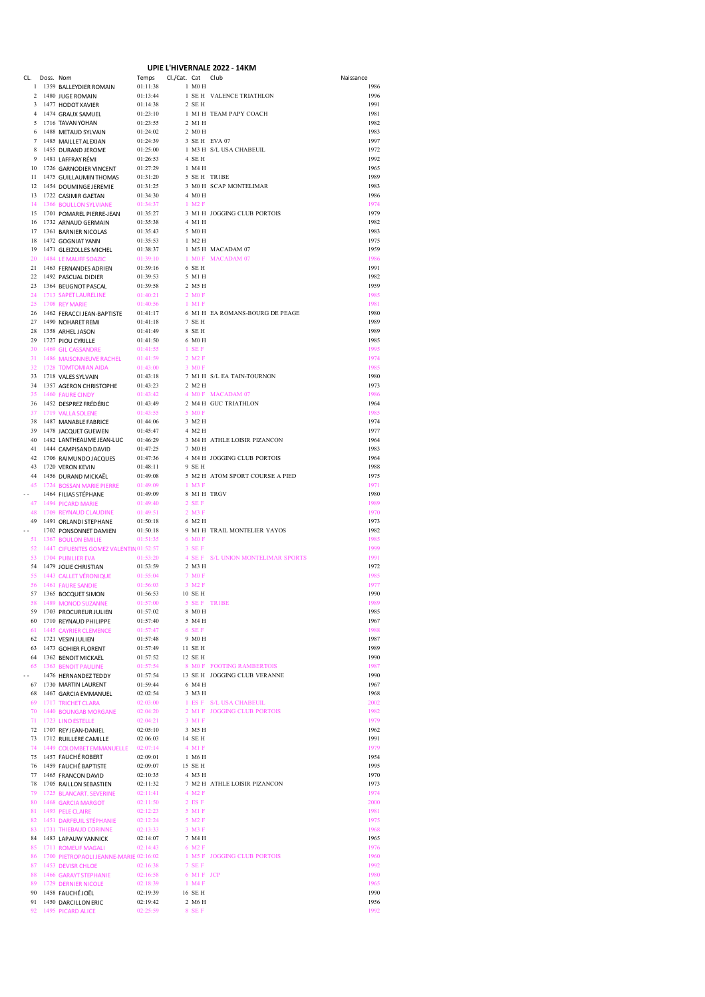|          |               |                                                |                      |                   |                    | UPIE L'HIVERNALE 2022 - 14KM             |           |              |
|----------|---------------|------------------------------------------------|----------------------|-------------------|--------------------|------------------------------------------|-----------|--------------|
|          | CL. Doss. Nom |                                                | Temps                | Cl./Cat. Cat Club |                    |                                          | Naissance |              |
|          |               | 1 1359 BALLEYDIER ROMAIN                       | 01:11:38             |                   | 1 M0 H             |                                          |           | 1986         |
|          |               | 2 1480 JUGE ROMAIN                             | 01:13:44             |                   |                    | 1 SE H VALENCE TRIATHLON                 |           | 1996         |
|          |               | 3 1477 HODOT XAVIER                            | 01:14:38             |                   | 2 SE H             |                                          |           | 1991         |
|          |               | 4 1474 GRAUX SAMUEL                            | 01:23:10             |                   |                    | 1 M1 H TEAM PAPY COACH                   |           | 1981         |
|          |               | 5 1716 TAVAN YOHAN                             | 01:23:55             |                   | 2 M1 H             |                                          |           | 1982         |
|          |               | 6 1488 METAUD SYLVAIN                          | 01:24:02             |                   | 2 M0 H             |                                          |           | 1983         |
|          |               | 7 1485 MAILLET ALEXIAN                         | 01:24:39             |                   |                    | 3 SEH EVA 07                             |           | 1997         |
|          |               | 8 1455 DURAND JEROME                           | 01:25:00             |                   |                    | 1 M3 H S/L USA CHABEUIL                  |           | 1972         |
|          |               | 9 1481 LAFFRAY RÉMI                            | 01:26:53             |                   | 4 SEH              |                                          |           | 1992         |
|          |               | 10 1726 GARNODIER VINCENT                      | 01:27:29             |                   | 1 M4 H             |                                          |           | 1965         |
|          |               | 11 1475 GUILLAUMIN THOMAS                      | 01:31:20             |                   |                    | 5 SEH TRIBE                              |           | 1989         |
|          |               | 12 1454 DOUMINGE JEREMIE                       | 01:31:25             |                   |                    | 3 M0 H SCAP MONTELIMAR                   |           | 1983         |
|          |               | 13 1722 CASIMIR GAETAN                         | 01:34:30             |                   | 4 M0 H             |                                          |           | 1986         |
|          |               | 14 1366 BOULLON SYLVIANE                       | 01:34:37             |                   | 1 M2 F             |                                          |           | 1974         |
|          |               | 15 1701 POMAREL PIERRE-JEAN                    | 01:35:27             |                   |                    | 3 M1 H JOGGING CLUB PORTOIS              |           | 1979         |
|          |               | 16 1732 ARNAUD GERMAIN                         | 01:35:38             |                   | 4 M1 H<br>5 M0 H   |                                          |           | 1982<br>1983 |
|          |               | 17 1361 BARNIER NICOLAS                        | 01:35:43             |                   |                    |                                          |           |              |
| 19       |               | 18 1472 GOGNIAT YANN                           | 01:35:53<br>01:38:37 |                   | 1 M2 H             | 1 M5 H MACADAM 07                        |           | 1975<br>1959 |
| 20       |               | 1471 GLEIZOLLES MICHEL<br>1484 LE MAUFF SOAZIC | 01:39:10             |                   |                    | 1 M0 F MACADAM 07                        |           | 1986         |
|          |               | 21 1463 FERNANDES ADRIEN                       | 01:39:16             |                   | 6 SE H             |                                          |           | 1991         |
|          |               | 22 1492 PASCUAL DIDIER                         | 01:39:53             |                   | 5 M1 H             |                                          |           | 1982         |
|          |               | 23 1364 BEUGNOT PASCAL                         | 01:39:58             |                   | 2 M5 H             |                                          |           | 1959         |
| 24       |               | 1713 SAPET LAURELINE                           | 01:40:21             |                   | 2 M0 F             |                                          |           | 1985         |
| 25       |               | 1708 REY MARIE                                 | 01:40:56             |                   | 1 M1 F             |                                          |           | 1981         |
|          |               | 26 1462 FERACCI JEAN-BAPTISTE                  | 01:41:17             |                   |                    | 6 M1 H EA ROMANS-BOURG DE PEAGE          |           | 1980         |
| 27       |               | 1490 NOHARET REMI                              | 01:41:18             |                   | 7 SE H             |                                          |           | 1989         |
|          |               | 28 1358 ARHEL JASON                            | 01:41:49             |                   | 8 SE H             |                                          |           | 1989         |
|          |               | 29 1727 PIOU CYRILLE                           | 01:41:50             |                   | 6 M0 H             |                                          |           | 1985         |
| 30       |               | 1469 GIL CASSANDRE                             | 01:41:55             |                   | $1$ SEF            |                                          |           | 1995         |
| 31       |               | 1486 MAISONNEUVE RACHEL                        | 01:41:59             |                   | 2 M2 F             |                                          |           | 1974         |
| 32       |               | 1728 TOMTOMIAN AIDA                            | 01:43:00             |                   | 3 MO F             |                                          |           | 1985         |
|          |               | 33 1718 VALES SYLVAIN                          | 01:43:18             |                   |                    | 7 M1 H S/L EA TAIN-TOURNON               |           | 1980         |
|          |               | 34 1357 AGERON CHRISTOPHE                      | 01:43:23             |                   | 2 M2 H             |                                          |           | 1973         |
| 35       |               | 1460 FAURE CINDY                               | 01:43:42             |                   |                    | 4 M0 F MACADAM 07                        |           | 1986         |
|          |               | 36 1452 DESPREZ FRÉDÉRIC                       | 01:43:49             |                   |                    | 2 M4 H GUC TRIATHLON                     |           | 1964         |
| 37       |               | 1719 VALLA SOLENE                              | 01:43:55             |                   | 5 M0 F             |                                          |           | 1985         |
| 38       |               | 1487 MANABLE FABRICE                           | 01:44:06             |                   | 3 M2 H             |                                          |           | 1974         |
| 39       |               | 1478 JACQUET GUEWEN                            | 01:45:47             |                   | 4 M2 H             |                                          |           | 1977         |
| 40       |               | 1482 LANTHEAUME JEAN-LUC                       | 01:46:29             |                   |                    | 3 M4 H ATHLE LOISIR PIZANCON             |           | 1964         |
| 41       |               | 1444 CAMPISANO DAVID                           | 01:47:25             |                   | 7 M0 H             |                                          |           | 1983         |
|          |               | 42 1706 RAIMUNDO JACQUES                       | 01:47:36             |                   |                    | 4 M4 H JOGGING CLUB PORTOIS              |           | 1964         |
| 43       |               | 1720 VERON KEVIN                               | 01:48:11             |                   | 9 SE H             |                                          |           | 1988         |
|          |               | 44 1456 DURAND MICKAËL                         | 01:49:08             |                   |                    | 5 M2 H ATOM SPORT COURSE A PIED          |           | 1975         |
|          |               | 45 1724 BOSSAN MARIE PIERRE                    | 01:49:09             |                   | 1 M3 F             |                                          |           | 1971         |
| ٠.       |               | 1464 FILIAS STÉPHANE                           | 01:49:09             |                   |                    | 8 M1 H TRGV                              |           | 1980         |
| 47       |               | 1494 PICARD MARIE                              | 01:49:40             |                   | 2 SE F             |                                          |           | 1989         |
| 48       |               | 1709 REYNAUD CLAUDINE                          | 01:49:51             |                   | 2 M3 F             |                                          |           | 1970         |
|          |               | 49 1491 ORLANDI STEPHANE                       | 01:50:18             |                   | 6 M2 H             |                                          |           | 1973         |
| . .      |               | 1702 PONSONNET DAMIEN                          | 01:50:18             |                   |                    | 9 M1 H TRAIL MONTELIER YAYOS             |           | 1982         |
| 51       |               | 1367 BOULON EMILIE                             | 01:51:35             |                   | 6 M <sub>0</sub> F |                                          |           | 1985         |
| 52       |               | 1447 CIFUENTES GOMEZ VALENTIN 01:52:57         |                      |                   | 3 SEF              |                                          |           | 1999         |
| 53       |               | 1704 PUBILIER EVA                              | 01:53:20             |                   |                    | <b>4 SEF S/L UNION MONTELIMAR SPORTS</b> |           | 1991         |
|          |               | 54 1479 JOLIE CHRISTIAN                        | 01:53:59             |                   | 2 M3 H             |                                          |           | 1972         |
| 55       |               | 1443 CALLET VÉRONIQUE                          | 01:55:04             |                   | 7 M0 F             |                                          |           | 1985         |
| 56       |               | 1461 FAURE SANDIE                              | 01:56:03             |                   | 3 M2 F             |                                          |           | 1977         |
|          |               | 57 1365 BOCQUET SIMON                          | 01:56:53             |                   | 10 SE H            |                                          |           | 1990         |
| 58       |               | 1489 MONOD SUZANNE                             | 01:57:00             |                   |                    | 5 SEF TRIBE                              |           | 1989         |
| 59       |               | 1703 PROCUREUR JULIEN                          | 01:57:02             |                   | 8 M0 H             |                                          |           | 1985         |
| 60       |               | 1710 REYNAUD PHILIPPE                          | 01:57:40             |                   | 5 M4 H             |                                          |           | 1967         |
| 61       |               | 1445 CAYRIER CLEMENCE                          | 01:57:47             |                   | 6 SE F             |                                          |           | 1988         |
| 62       |               | 1721 VESIN JULIEN                              | 01:57:48             |                   | 9 M0 H             |                                          |           | 1987         |
| 63       |               | 1473 GOHIER FLORENT                            | 01:57:49             |                   | 11 SE H            |                                          |           | 1989         |
| 64       |               | 1362 BENOIT MICKAËL                            | 01:57:52             |                   | 12 SE H            |                                          |           | 1990         |
| 65       |               | 1363 BENOIT PAULINE                            | 01:57:54             |                   |                    | 8 M0 F FOOTING RAMBERTOIS                |           | 1987         |
| . .      |               | 1476 HERNANDEZ TEDDY                           | 01:57:54             |                   |                    | 13 SE H JOGGING CLUB VERANNE             |           | 1990         |
| 67       |               | 1730 MARTIN LAURENT                            | 01:59:44             |                   | 6 M4 H             |                                          |           | 1967         |
| 68       |               | 1467 GARCIA EMMANUEL                           | 02:02:54             |                   | 3 M3 H             |                                          |           | 1968         |
| 69       |               | 1717 TRICHET CLARA                             | 02:03:00             |                   |                    | 1 ES F S/L USA CHABEUIL                  |           | 2002         |
| 70       |               | 1440 BOUNGAB MORGANE                           | 02:04:20             |                   |                    | 2 M1 F JOGGING CLUB PORTOIS              |           | 1982         |
| 71       |               | 1723 LINO ESTELLE                              | 02:04:21             |                   | 3 M1 F             |                                          |           | 1979         |
| 72       |               | 1707 REY JEAN-DANIEL                           | 02:05:10             |                   | 3 M5 H             |                                          |           | 1962         |
| 73       |               | 1712 RUILLERE CAMILLE                          | 02:06:03             |                   | 14 SE H            |                                          |           | 1991         |
| 74       |               | 1449 COLOMBET EMMANUELLE                       | 02:07:14             |                   | 4 M1 F             |                                          |           | 1979         |
| 75       |               | 1457 FAUCHÉ ROBERT                             | 02:09:01             |                   | 1 M6 H             |                                          |           | 1954         |
| 76       |               | 1459 FAUCHÉ BAPTISTE                           | 02:09:07             |                   | 15 SE H            |                                          |           | 1995         |
| 77       |               | 1465 FRANCON DAVID                             | 02:10:35             |                   | 4 M3 H             |                                          |           | 1970         |
| 78       |               | 1705 RAILLON SEBASTIEN                         | 02:11:32             |                   |                    | 7 M2 H ATHLE LOISIR PIZANCON             |           | 1973         |
| 79       |               | 1725 BLANCART. SEVERINE                        | 02:11:41             |                   | 4 M2 F             |                                          |           | 1974         |
| 80<br>81 |               | 1468 GARCIA MARGOT                             | 02:11:50             |                   | 2 ES F             |                                          |           | 2000<br>1981 |
| 82       |               | 1493 PELE CLAIRE                               | 02:12:23             |                   | 5 M1 F<br>5 M2 F   |                                          |           | 1975         |
| 83       |               | 1451 DARFEUIL STÉPHANIE                        | 02:12:24             |                   | 3 M3 F             |                                          |           | 1968         |
| 84       |               | 1731 THIEBAUD CORINNE                          | 02:13:33<br>02:14:07 |                   | 7 M4 H             |                                          |           | 1965         |
| 85       |               | 1483 LAPAUW YANNICK<br>1711 ROMEUF MAGALI      | 02:14:43             |                   | 6 M2 F             |                                          |           | 1976         |
| 86       |               | 1700 PIETROPAOLI JEANNE-MARIE 02:16:02         |                      |                   |                    | 1 M5 F JOGGING CLUB PORTOIS              |           | 1960         |
| 87       |               | 1453 DEVISR CHLOE                              | 02:16:38             |                   | 7 SE F             |                                          |           | 1992         |
| 88       |               | 1466 GARAYT STEPHANIE                          | 02:16:58             |                   |                    | 6 M1 F JCP                               |           | 1980         |
| 89       |               | 1729 DERNIER NICOLE                            | 02:18:39             |                   | 1 M4 F             |                                          |           | 1965         |
| 90       |               | 1458 FAUCHÉJOËL                                | 02:19:39             |                   | 16 SE H            |                                          |           | 1990         |
| 91       |               | 1450 DARCILLON ERIC                            | 02:19:42             |                   | 2 M6 H             |                                          |           | 1956         |
| 92       |               | 1495 PICARD ALICE                              | 02:25:59             |                   | 8 SE F             |                                          |           | 1992         |
|          |               |                                                |                      |                   |                    |                                          |           |              |